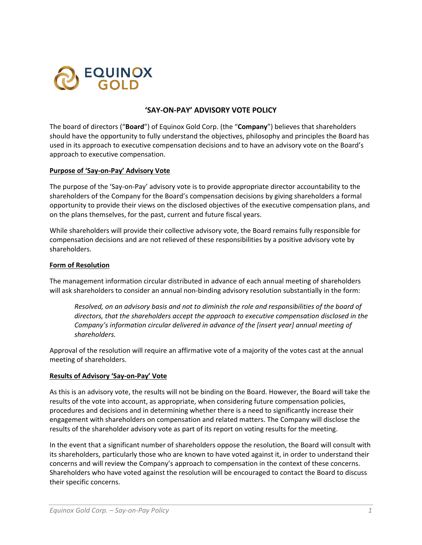

# **'SAY-ON-PAY' ADVISORY VOTE POLICY**

The board of directors ("**Board**") of Equinox Gold Corp. (the "**Company**") believes that shareholders should have the opportunity to fully understand the objectives, philosophy and principles the Board has used in its approach to executive compensation decisions and to have an advisory vote on the Board's approach to executive compensation.

### **Purpose of 'Say-on-Pay' Advisory Vote**

The purpose of the 'Say-on-Pay' advisory vote is to provide appropriate director accountability to the shareholders of the Company for the Board's compensation decisions by giving shareholders a formal opportunity to provide their views on the disclosed objectives of the executive compensation plans, and on the plans themselves, for the past, current and future fiscal years.

While shareholders will provide their collective advisory vote, the Board remains fully responsible for compensation decisions and are not relieved of these responsibilities by a positive advisory vote by shareholders.

### **Form of Resolution**

The management information circular distributed in advance of each annual meeting of shareholders will ask shareholders to consider an annual non-binding advisory resolution substantially in the form:

*Resolved, on an advisory basis and not to diminish the role and responsibilities of the board of directors, that the shareholders accept the approach to executive compensation disclosed in the Company's information circular delivered in advance of the [insert year] annual meeting of shareholders.* 

Approval of the resolution will require an affirmative vote of a majority of the votes cast at the annual meeting of shareholders.

### **Results of Advisory 'Say-on-Pay' Vote**

As this is an advisory vote, the results will not be binding on the Board. However, the Board will take the results of the vote into account, as appropriate, when considering future compensation policies, procedures and decisions and in determining whether there is a need to significantly increase their engagement with shareholders on compensation and related matters. The Company will disclose the results of the shareholder advisory vote as part of its report on voting results for the meeting.

In the event that a significant number of shareholders oppose the resolution, the Board will consult with its shareholders, particularly those who are known to have voted against it, in order to understand their concerns and will review the Company's approach to compensation in the context of these concerns. Shareholders who have voted against the resolution will be encouraged to contact the Board to discuss their specific concerns.